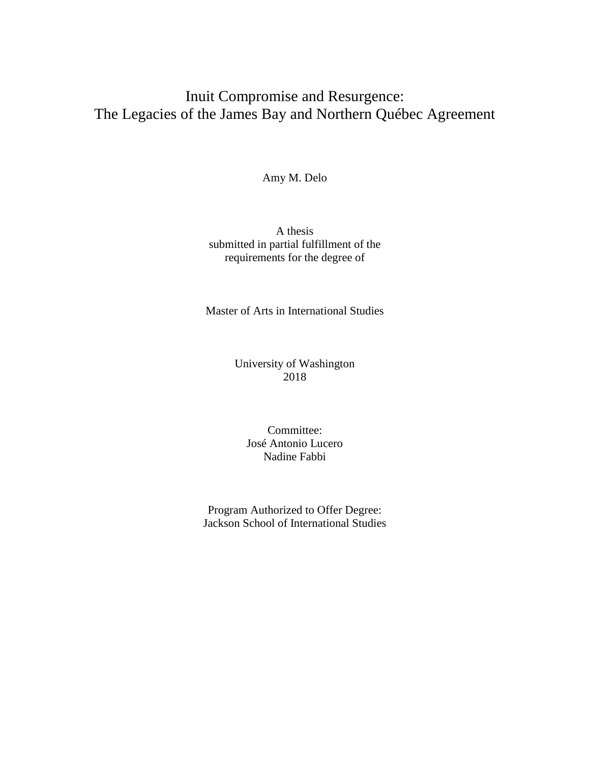# Inuit Compromise and Resurgence: The Legacies of the James Bay and Northern Québec Agreement

Amy M. Delo

A thesis submitted in partial fulfillment of the requirements for the degree of

Master of Arts in International Studies

### University of Washington 2018

Committee: José Antonio Lucero Nadine Fabbi

Program Authorized to Offer Degree: Jackson School of International Studies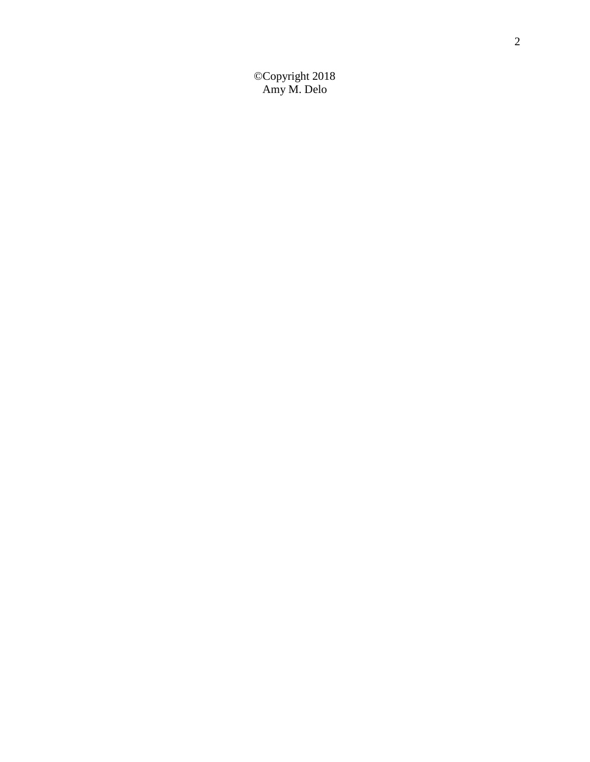©Copyright 2018 Amy M. Delo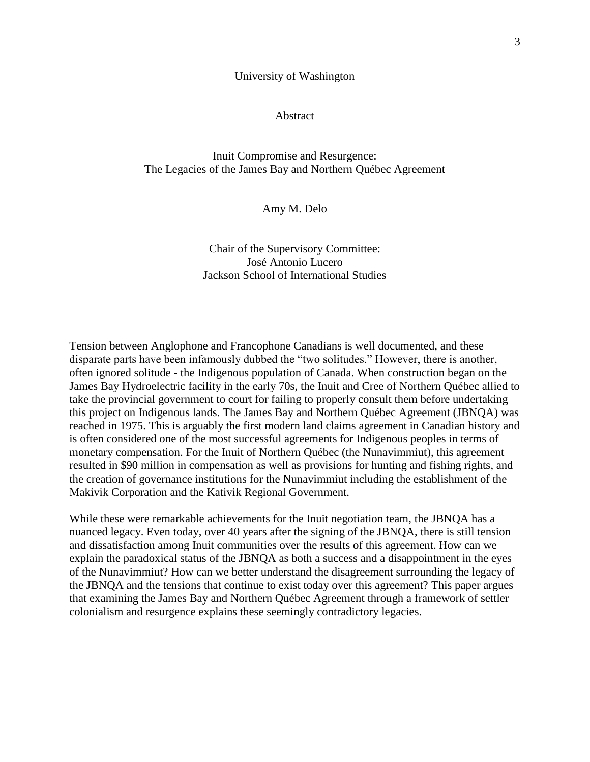University of Washington

Abstract

### Inuit Compromise and Resurgence: The Legacies of the James Bay and Northern Québec Agreement

Amy M. Delo

Chair of the Supervisory Committee: José Antonio Lucero Jackson School of International Studies

Tension between Anglophone and Francophone Canadians is well documented, and these disparate parts have been infamously dubbed the "two solitudes." However, there is another, often ignored solitude - the Indigenous population of Canada. When construction began on the James Bay Hydroelectric facility in the early 70s, the Inuit and Cree of Northern Québec allied to take the provincial government to court for failing to properly consult them before undertaking this project on Indigenous lands. The James Bay and Northern Québec Agreement (JBNQA) was reached in 1975. This is arguably the first modern land claims agreement in Canadian history and is often considered one of the most successful agreements for Indigenous peoples in terms of monetary compensation. For the Inuit of Northern Québec (the Nunavimmiut), this agreement resulted in \$90 million in compensation as well as provisions for hunting and fishing rights, and the creation of governance institutions for the Nunavimmiut including the establishment of the Makivik Corporation and the Kativik Regional Government.

While these were remarkable achievements for the Inuit negotiation team, the JBNQA has a nuanced legacy. Even today, over 40 years after the signing of the JBNQA, there is still tension and dissatisfaction among Inuit communities over the results of this agreement. How can we explain the paradoxical status of the JBNQA as both a success and a disappointment in the eyes of the Nunavimmiut? How can we better understand the disagreement surrounding the legacy of the JBNQA and the tensions that continue to exist today over this agreement? This paper argues that examining the James Bay and Northern Québec Agreement through a framework of settler colonialism and resurgence explains these seemingly contradictory legacies.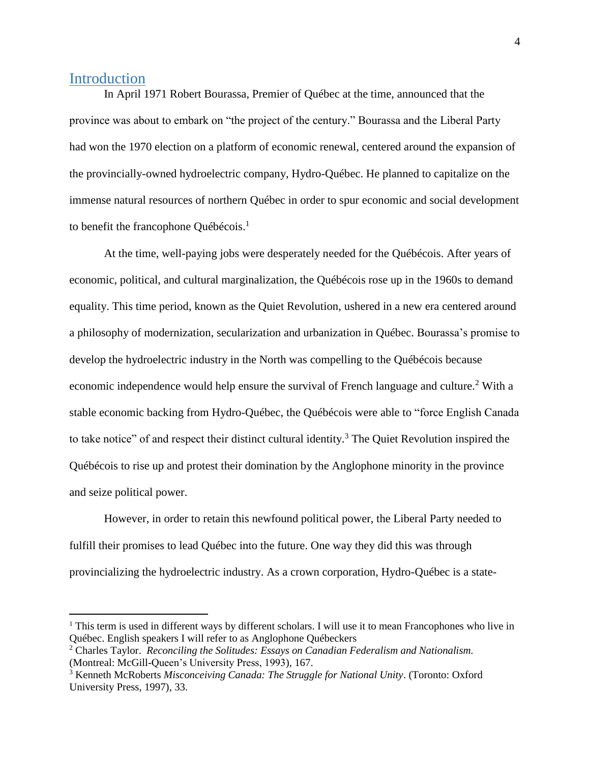## **Introduction**

 $\overline{a}$ 

In April 1971 Robert Bourassa, Premier of Québec at the time, announced that the province was about to embark on "the project of the century." Bourassa and the Liberal Party had won the 1970 election on a platform of economic renewal, centered around the expansion of the provincially-owned hydroelectric company, Hydro-Québec. He planned to capitalize on the immense natural resources of northern Québec in order to spur economic and social development to benefit the francophone Québécois.<sup>1</sup>

At the time, well-paying jobs were desperately needed for the Québécois. After years of economic, political, and cultural marginalization, the Québécois rose up in the 1960s to demand equality. This time period, known as the Quiet Revolution, ushered in a new era centered around a philosophy of modernization, secularization and urbanization in Québec. Bourassa's promise to develop the hydroelectric industry in the North was compelling to the Québécois because economic independence would help ensure the survival of French language and culture.<sup>2</sup> With a stable economic backing from Hydro-Québec, the Québécois were able to "force English Canada to take notice" of and respect their distinct cultural identity.<sup>3</sup> The Quiet Revolution inspired the Québécois to rise up and protest their domination by the Anglophone minority in the province and seize political power.

However, in order to retain this newfound political power, the Liberal Party needed to fulfill their promises to lead Québec into the future. One way they did this was through provincializing the hydroelectric industry. As a crown corporation, Hydro-Québec is a state-

<sup>&</sup>lt;sup>1</sup> This term is used in different ways by different scholars. I will use it to mean Francophones who live in Québec. English speakers I will refer to as Anglophone Québeckers

<sup>2</sup> Charles Taylor. *Reconciling the Solitudes: Essays on Canadian Federalism and Nationalism.*  (Montreal: McGill-Queen's University Press, 1993), 167.

<sup>3</sup> Kenneth McRoberts *Misconceiving Canada: The Struggle for National Unity*. (Toronto: Oxford University Press, 1997), 33.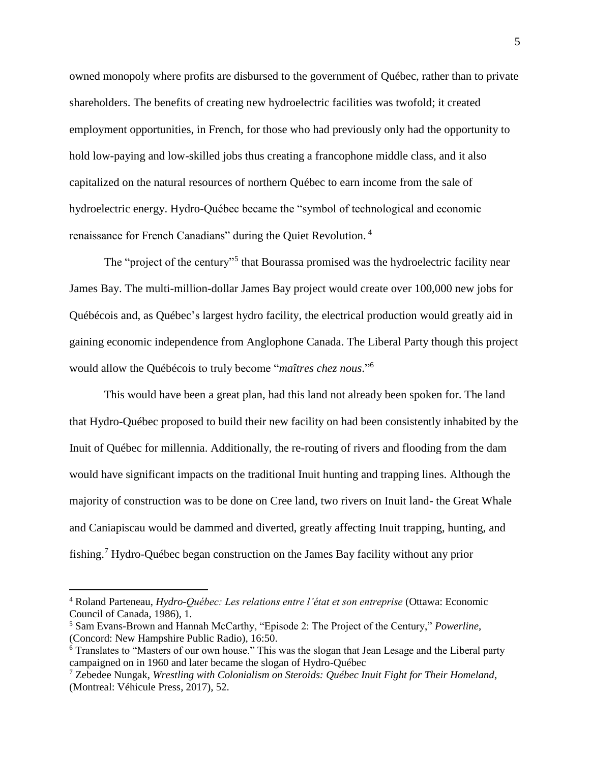owned monopoly where profits are disbursed to the government of Québec, rather than to private shareholders. The benefits of creating new hydroelectric facilities was twofold; it created employment opportunities, in French, for those who had previously only had the opportunity to hold low-paying and low-skilled jobs thus creating a francophone middle class, and it also capitalized on the natural resources of northern Québec to earn income from the sale of hydroelectric energy. Hydro-Québec became the "symbol of technological and economic renaissance for French Canadians" during the Quiet Revolution. <sup>4</sup>

The "project of the century"<sup>5</sup> that Bourassa promised was the hydroelectric facility near James Bay. The multi-million-dollar James Bay project would create over 100,000 new jobs for Québécois and, as Québec's largest hydro facility, the electrical production would greatly aid in gaining economic independence from Anglophone Canada. The Liberal Party though this project would allow the Québécois to truly become "*maîtres chez nous*." 6

This would have been a great plan, had this land not already been spoken for. The land that Hydro-Québec proposed to build their new facility on had been consistently inhabited by the Inuit of Québec for millennia. Additionally, the re-routing of rivers and flooding from the dam would have significant impacts on the traditional Inuit hunting and trapping lines. Although the majority of construction was to be done on Cree land, two rivers on Inuit land- the Great Whale and Caniapiscau would be dammed and diverted, greatly affecting Inuit trapping, hunting, and fishing.<sup>7</sup> Hydro-Québec began construction on the James Bay facility without any prior

<sup>4</sup> Roland Parteneau, *Hydro-Québec: Les relations entre l'état et son entreprise* (Ottawa: Economic Council of Canada, 1986), 1.

<sup>5</sup> Sam Evans-Brown and Hannah McCarthy, "Episode 2: The Project of the Century," *Powerline*, (Concord: New Hampshire Public Radio), 16:50.

<sup>6</sup> Translates to "Masters of our own house." This was the slogan that Jean Lesage and the Liberal party campaigned on in 1960 and later became the slogan of Hydro-Québec

<sup>7</sup> Zebedee Nungak, *Wrestling with Colonialism on Steroids: Québec Inuit Fight for Their Homeland*, (Montreal: Véhicule Press, 2017), 52.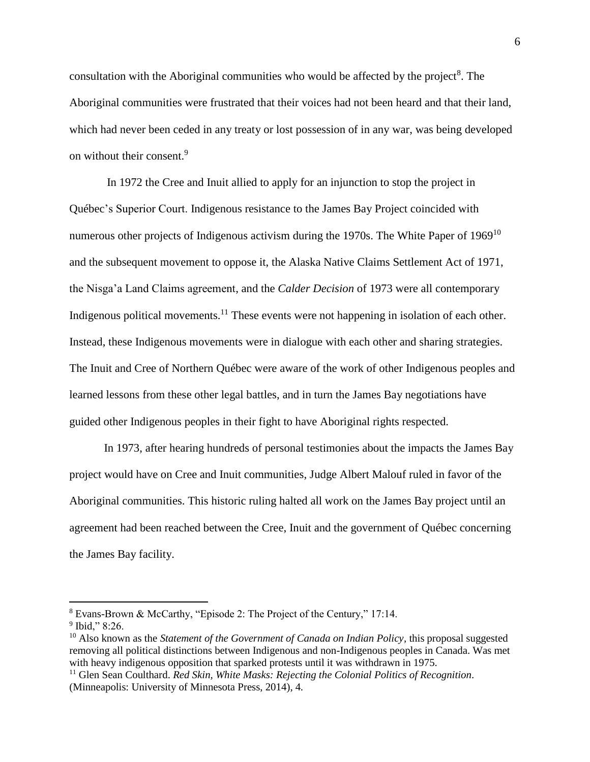consultation with the Aboriginal communities who would be affected by the project $8$ . The Aboriginal communities were frustrated that their voices had not been heard and that their land, which had never been ceded in any treaty or lost possession of in any war, was being developed on without their consent. 9

In 1972 the Cree and Inuit allied to apply for an injunction to stop the project in Québec's Superior Court. Indigenous resistance to the James Bay Project coincided with numerous other projects of Indigenous activism during the 1970s. The White Paper of 1969<sup>10</sup> and the subsequent movement to oppose it, the Alaska Native Claims Settlement Act of 1971, the Nisga'a Land Claims agreement, and the *Calder Decision* of 1973 were all contemporary Indigenous political movements.<sup>11</sup> These events were not happening in isolation of each other. Instead, these Indigenous movements were in dialogue with each other and sharing strategies. The Inuit and Cree of Northern Québec were aware of the work of other Indigenous peoples and learned lessons from these other legal battles, and in turn the James Bay negotiations have guided other Indigenous peoples in their fight to have Aboriginal rights respected.

In 1973, after hearing hundreds of personal testimonies about the impacts the James Bay project would have on Cree and Inuit communities, Judge Albert Malouf ruled in favor of the Aboriginal communities. This historic ruling halted all work on the James Bay project until an agreement had been reached between the Cree, Inuit and the government of Québec concerning the James Bay facility.

<sup>8</sup> Evans-Brown & McCarthy, "Episode 2: The Project of the Century," 17:14.

<sup>9</sup> Ibid," 8:26.

<sup>10</sup> Also known as the *Statement of the Government of Canada on Indian Policy*, this proposal suggested removing all political distinctions between Indigenous and non-Indigenous peoples in Canada. Was met with heavy indigenous opposition that sparked protests until it was withdrawn in 1975.

<sup>11</sup> Glen Sean Coulthard. *Red Skin, White Masks: Rejecting the Colonial Politics of Recognition*. (Minneapolis: University of Minnesota Press, 2014), 4.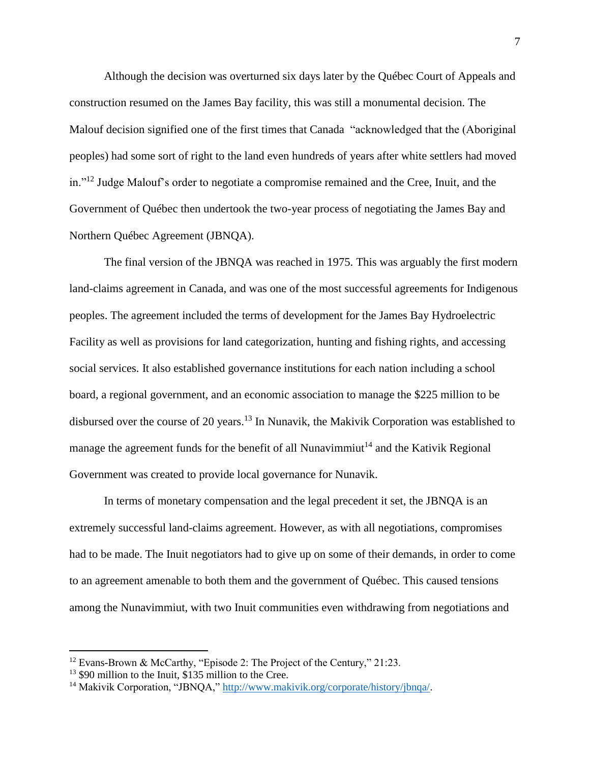Although the decision was overturned six days later by the Québec Court of Appeals and construction resumed on the James Bay facility, this was still a monumental decision. The Malouf decision signified one of the first times that Canada "acknowledged that the (Aboriginal peoples) had some sort of right to the land even hundreds of years after white settlers had moved in."<sup>12</sup> Judge Malouf's order to negotiate a compromise remained and the Cree, Inuit, and the Government of Québec then undertook the two-year process of negotiating the James Bay and Northern Québec Agreement (JBNQA).

The final version of the JBNQA was reached in 1975. This was arguably the first modern land-claims agreement in Canada, and was one of the most successful agreements for Indigenous peoples. The agreement included the terms of development for the James Bay Hydroelectric Facility as well as provisions for land categorization, hunting and fishing rights, and accessing social services. It also established governance institutions for each nation including a school board, a regional government, and an economic association to manage the \$225 million to be disbursed over the course of 20 years.<sup>13</sup> In Nunavik, the Makivik Corporation was established to manage the agreement funds for the benefit of all Nunavimmiut<sup>14</sup> and the Kativik Regional Government was created to provide local governance for Nunavik.

In terms of monetary compensation and the legal precedent it set, the JBNQA is an extremely successful land-claims agreement. However, as with all negotiations, compromises had to be made. The Inuit negotiators had to give up on some of their demands, in order to come to an agreement amenable to both them and the government of Québec. This caused tensions among the Nunavimmiut, with two Inuit communities even withdrawing from negotiations and

<sup>&</sup>lt;sup>12</sup> Evans-Brown & McCarthy, "Episode 2: The Project of the Century," 21:23.

<sup>&</sup>lt;sup>13</sup> \$90 million to the Inuit, \$135 million to the Cree.

<sup>&</sup>lt;sup>14</sup> Makivik Corporation, "JBNQA," [http://www.makivik.org/corporate/history/jbnqa/.](http://www.makivik.org/corporate/history/jbnqa/)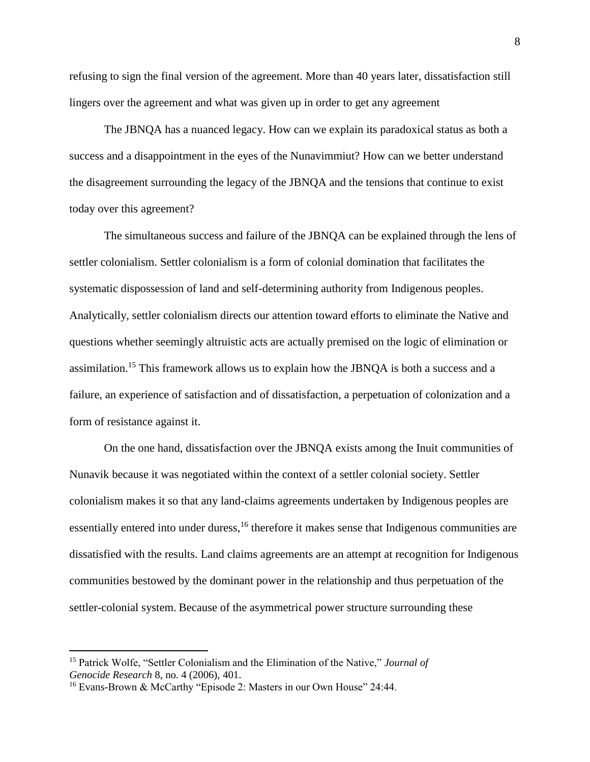refusing to sign the final version of the agreement. More than 40 years later, dissatisfaction still lingers over the agreement and what was given up in order to get any agreement

The JBNQA has a nuanced legacy. How can we explain its paradoxical status as both a success and a disappointment in the eyes of the Nunavimmiut? How can we better understand the disagreement surrounding the legacy of the JBNQA and the tensions that continue to exist today over this agreement?

The simultaneous success and failure of the JBNQA can be explained through the lens of settler colonialism. Settler colonialism is a form of colonial domination that facilitates the systematic dispossession of land and self-determining authority from Indigenous peoples. Analytically, settler colonialism directs our attention toward efforts to eliminate the Native and questions whether seemingly altruistic acts are actually premised on the logic of elimination or assimilation.<sup>15</sup> This framework allows us to explain how the JBNQA is both a success and a failure, an experience of satisfaction and of dissatisfaction, a perpetuation of colonization and a form of resistance against it.

On the one hand, dissatisfaction over the JBNQA exists among the Inuit communities of Nunavik because it was negotiated within the context of a settler colonial society. Settler colonialism makes it so that any land-claims agreements undertaken by Indigenous peoples are essentially entered into under duress,<sup>16</sup> therefore it makes sense that Indigenous communities are dissatisfied with the results. Land claims agreements are an attempt at recognition for Indigenous communities bestowed by the dominant power in the relationship and thus perpetuation of the settler-colonial system. Because of the asymmetrical power structure surrounding these

<sup>15</sup> Patrick Wolfe, "Settler Colonialism and the Elimination of the Native," *Journal of Genocide Research* 8, no. 4 (2006), 401.

<sup>&</sup>lt;sup>16</sup> Evans-Brown & McCarthy "Episode 2: Masters in our Own House" 24:44.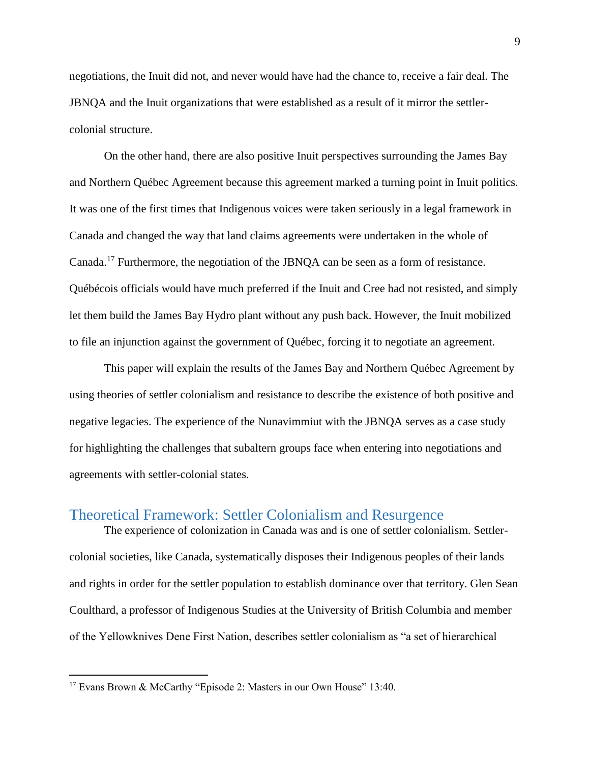negotiations, the Inuit did not, and never would have had the chance to, receive a fair deal. The JBNQA and the Inuit organizations that were established as a result of it mirror the settlercolonial structure.

On the other hand, there are also positive Inuit perspectives surrounding the James Bay and Northern Québec Agreement because this agreement marked a turning point in Inuit politics. It was one of the first times that Indigenous voices were taken seriously in a legal framework in Canada and changed the way that land claims agreements were undertaken in the whole of Canada.<sup>17</sup> Furthermore, the negotiation of the JBNQA can be seen as a form of resistance. Québécois officials would have much preferred if the Inuit and Cree had not resisted, and simply let them build the James Bay Hydro plant without any push back. However, the Inuit mobilized to file an injunction against the government of Québec, forcing it to negotiate an agreement.

This paper will explain the results of the James Bay and Northern Québec Agreement by using theories of settler colonialism and resistance to describe the existence of both positive and negative legacies. The experience of the Nunavimmiut with the JBNQA serves as a case study for highlighting the challenges that subaltern groups face when entering into negotiations and agreements with settler-colonial states.

## Theoretical Framework: Settler Colonialism and Resurgence

The experience of colonization in Canada was and is one of settler colonialism. Settlercolonial societies, like Canada, systematically disposes their Indigenous peoples of their lands and rights in order for the settler population to establish dominance over that territory. Glen Sean Coulthard, a professor of Indigenous Studies at the University of British Columbia and member of the Yellowknives Dene First Nation, describes settler colonialism as "a set of hierarchical

<sup>&</sup>lt;sup>17</sup> Evans Brown & McCarthy "Episode 2: Masters in our Own House" 13:40.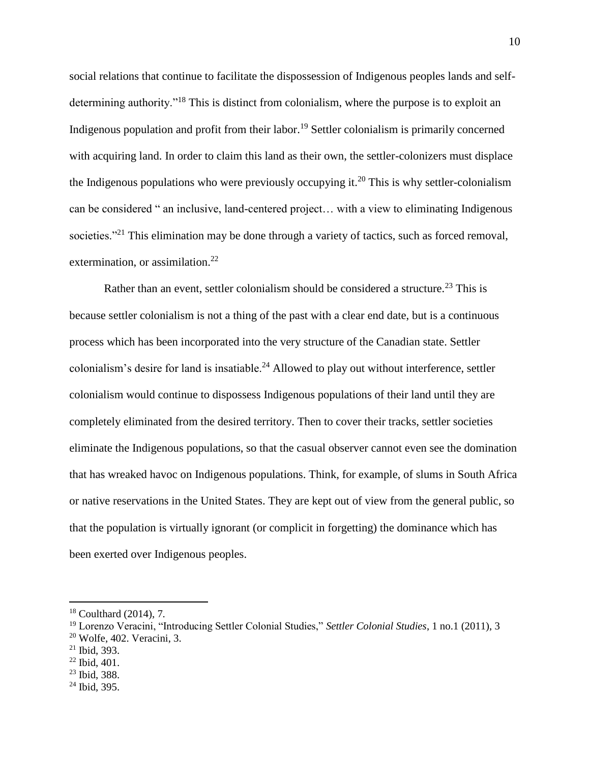social relations that continue to facilitate the dispossession of Indigenous peoples lands and selfdetermining authority."<sup>18</sup> This is distinct from colonialism, where the purpose is to exploit an Indigenous population and profit from their labor.<sup>19</sup> Settler colonialism is primarily concerned with acquiring land. In order to claim this land as their own, the settler-colonizers must displace the Indigenous populations who were previously occupying it.<sup>20</sup> This is why settler-colonialism can be considered " an inclusive, land-centered project… with a view to eliminating Indigenous societies."<sup>21</sup> This elimination may be done through a variety of tactics, such as forced removal, extermination, or assimilation.<sup>22</sup>

Rather than an event, settler colonialism should be considered a structure.<sup>23</sup> This is because settler colonialism is not a thing of the past with a clear end date, but is a continuous process which has been incorporated into the very structure of the Canadian state. Settler colonialism's desire for land is insatiable.<sup>24</sup> Allowed to play out without interference, settler colonialism would continue to dispossess Indigenous populations of their land until they are completely eliminated from the desired territory. Then to cover their tracks, settler societies eliminate the Indigenous populations, so that the casual observer cannot even see the domination that has wreaked havoc on Indigenous populations. Think, for example, of slums in South Africa or native reservations in the United States. They are kept out of view from the general public, so that the population is virtually ignorant (or complicit in forgetting) the dominance which has been exerted over Indigenous peoples.

<sup>18</sup> Coulthard (2014), 7.

<sup>19</sup> Lorenzo Veracini, "Introducing Settler Colonial Studies," *Settler Colonial Studies*, 1 no.1 (2011), 3  $20$  Wolfe, 402. Veracini, 3.

<sup>21</sup> Ibid, 393.

<sup>22</sup> Ibid, 401.

<sup>23</sup> Ibid, 388.

 $24$  Ibid, 395.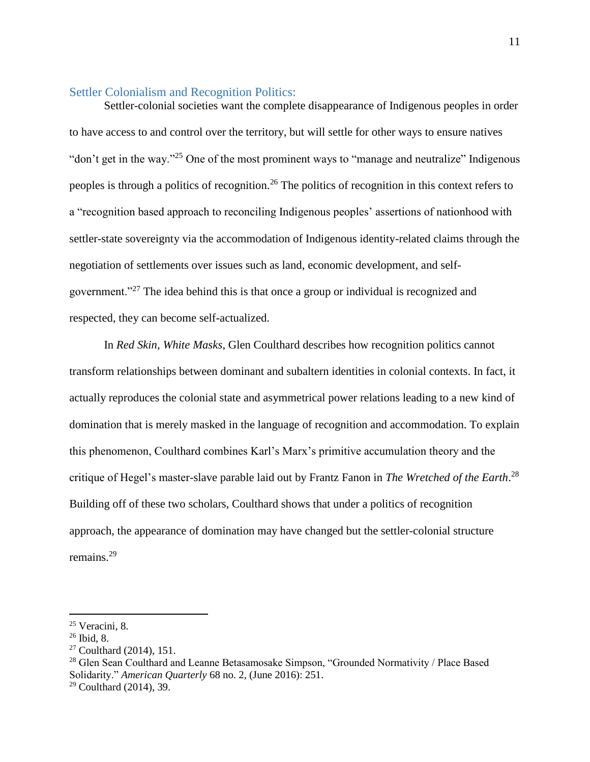#### Settler Colonialism and Recognition Politics:

Settler-colonial societies want the complete disappearance of Indigenous peoples in order to have access to and control over the territory, but will settle for other ways to ensure natives "don't get in the way."<sup>25</sup> One of the most prominent ways to "manage and neutralize" Indigenous peoples is through a politics of recognition.<sup>26</sup> The politics of recognition in this context refers to a "recognition based approach to reconciling Indigenous peoples' assertions of nationhood with settler-state sovereignty via the accommodation of Indigenous identity-related claims through the negotiation of settlements over issues such as land, economic development, and selfgovernment."<sup>27</sup> The idea behind this is that once a group or individual is recognized and respected, they can become self-actualized.

In *Red Skin, White Masks*, Glen Coulthard describes how recognition politics cannot transform relationships between dominant and subaltern identities in colonial contexts. In fact, it actually reproduces the colonial state and asymmetrical power relations leading to a new kind of domination that is merely masked in the language of recognition and accommodation. To explain this phenomenon, Coulthard combines Karl's Marx's primitive accumulation theory and the critique of Hegel's master-slave parable laid out by Frantz Fanon in *The Wretched of the Earth*. 28 Building off of these two scholars, Coulthard shows that under a politics of recognition approach, the appearance of domination may have changed but the settler-colonial structure remains.<sup>29</sup>

<sup>25</sup> Veracini, 8.

 $26$  Ibid, 8.

<sup>27</sup> Coulthard (2014), 151.

<sup>&</sup>lt;sup>28</sup> Glen Sean Coulthard and Leanne Betasamosake Simpson, "Grounded Normativity / Place Based Solidarity." *American Quarterly* 68 no. 2, (June 2016): 251.

 $29$  Coulthard (2014), 39.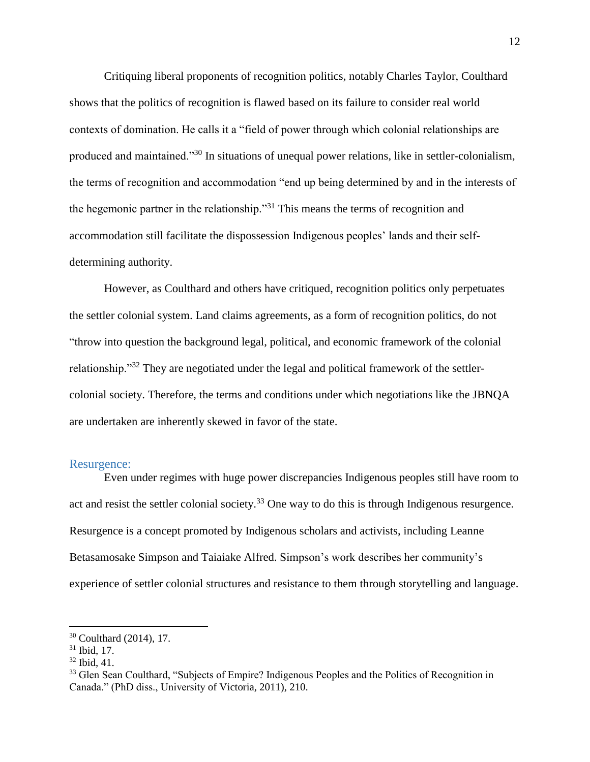Critiquing liberal proponents of recognition politics, notably Charles Taylor, Coulthard shows that the politics of recognition is flawed based on its failure to consider real world contexts of domination. He calls it a "field of power through which colonial relationships are produced and maintained."<sup>30</sup> In situations of unequal power relations, like in settler-colonialism, the terms of recognition and accommodation "end up being determined by and in the interests of the hegemonic partner in the relationship."<sup>31</sup> This means the terms of recognition and accommodation still facilitate the dispossession Indigenous peoples' lands and their selfdetermining authority.

However, as Coulthard and others have critiqued, recognition politics only perpetuates the settler colonial system. Land claims agreements, as a form of recognition politics, do not "throw into question the background legal, political, and economic framework of the colonial relationship."<sup>32</sup> They are negotiated under the legal and political framework of the settlercolonial society. Therefore, the terms and conditions under which negotiations like the JBNQA are undertaken are inherently skewed in favor of the state.

#### Resurgence:

Even under regimes with huge power discrepancies Indigenous peoples still have room to act and resist the settler colonial society.<sup>33</sup> One way to do this is through Indigenous resurgence. Resurgence is a concept promoted by Indigenous scholars and activists, including Leanne Betasamosake Simpson and Taiaiake Alfred. Simpson's work describes her community's experience of settler colonial structures and resistance to them through storytelling and language.

<sup>30</sup> Coulthard (2014), 17.

<sup>31</sup> Ibid, 17.

<sup>32</sup> Ibid, 41.

<sup>&</sup>lt;sup>33</sup> Glen Sean Coulthard, "Subjects of Empire? Indigenous Peoples and the Politics of Recognition in Canada." (PhD diss., University of Victoria, 2011), 210.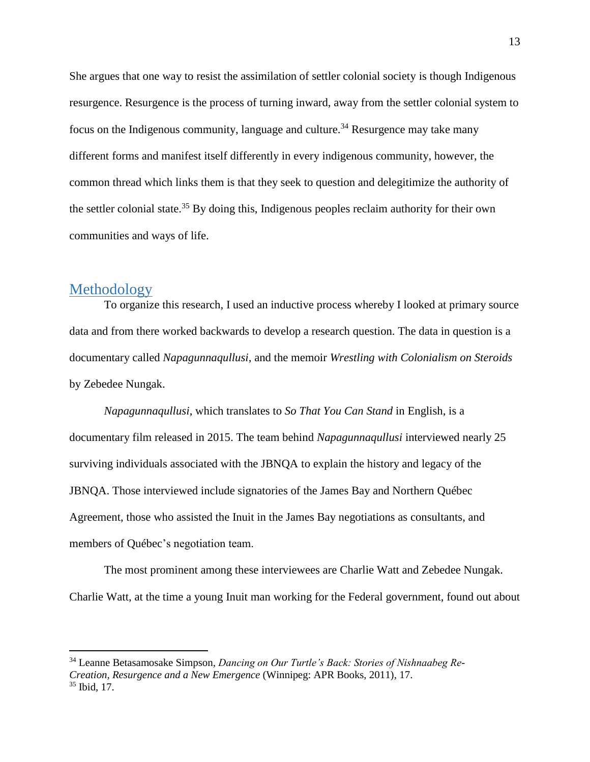She argues that one way to resist the assimilation of settler colonial society is though Indigenous resurgence. Resurgence is the process of turning inward, away from the settler colonial system to focus on the Indigenous community, language and culture.<sup>34</sup> Resurgence may take many different forms and manifest itself differently in every indigenous community, however, the common thread which links them is that they seek to question and delegitimize the authority of the settler colonial state.<sup>35</sup> By doing this, Indigenous peoples reclaim authority for their own communities and ways of life.

#### **Methodology**

 $\overline{a}$ 

To organize this research, I used an inductive process whereby I looked at primary source data and from there worked backwards to develop a research question. The data in question is a documentary called *Napagunnaqullusi*, and the memoir *Wrestling with Colonialism on Steroids* by Zebedee Nungak.

*Napagunnaqullusi*, which translates to *So That You Can Stand* in English, is a documentary film released in 2015. The team behind *Napagunnaqullusi* interviewed nearly 25 surviving individuals associated with the JBNQA to explain the history and legacy of the JBNQA. Those interviewed include signatories of the James Bay and Northern Québec Agreement, those who assisted the Inuit in the James Bay negotiations as consultants, and members of Québec's negotiation team.

The most prominent among these interviewees are Charlie Watt and Zebedee Nungak. Charlie Watt, at the time a young Inuit man working for the Federal government, found out about

<sup>34</sup> Leanne Betasamosake Simpson, *Dancing on Our Turtle's Back: Stories of Nishnaabeg Re-Creation, Resurgence and a New Emergence* (Winnipeg: APR Books, 2011), 17. <sup>35</sup> Ibid, 17.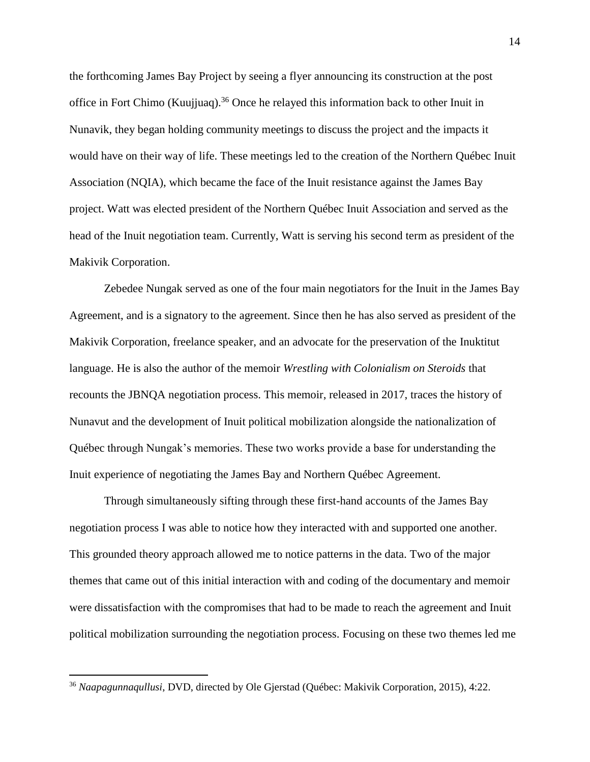the forthcoming James Bay Project by seeing a flyer announcing its construction at the post office in Fort Chimo (Kuujjuaq).<sup>36</sup> Once he relayed this information back to other Inuit in Nunavik, they began holding community meetings to discuss the project and the impacts it would have on their way of life. These meetings led to the creation of the Northern Québec Inuit Association (NQIA), which became the face of the Inuit resistance against the James Bay project. Watt was elected president of the Northern Québec Inuit Association and served as the head of the Inuit negotiation team. Currently, Watt is serving his second term as president of the Makivik Corporation.

Zebedee Nungak served as one of the four main negotiators for the Inuit in the James Bay Agreement, and is a signatory to the agreement. Since then he has also served as president of the Makivik Corporation, freelance speaker, and an advocate for the preservation of the Inuktitut language. He is also the author of the memoir *Wrestling with Colonialism on Steroids* that recounts the JBNQA negotiation process. This memoir, released in 2017, traces the history of Nunavut and the development of Inuit political mobilization alongside the nationalization of Québec through Nungak's memories. These two works provide a base for understanding the Inuit experience of negotiating the James Bay and Northern Québec Agreement.

Through simultaneously sifting through these first-hand accounts of the James Bay negotiation process I was able to notice how they interacted with and supported one another. This grounded theory approach allowed me to notice patterns in the data. Two of the major themes that came out of this initial interaction with and coding of the documentary and memoir were dissatisfaction with the compromises that had to be made to reach the agreement and Inuit political mobilization surrounding the negotiation process. Focusing on these two themes led me

<sup>36</sup> *Naapagunnaqullusi*, DVD, directed by Ole Gjerstad (Québec: Makivik Corporation, 2015), 4:22.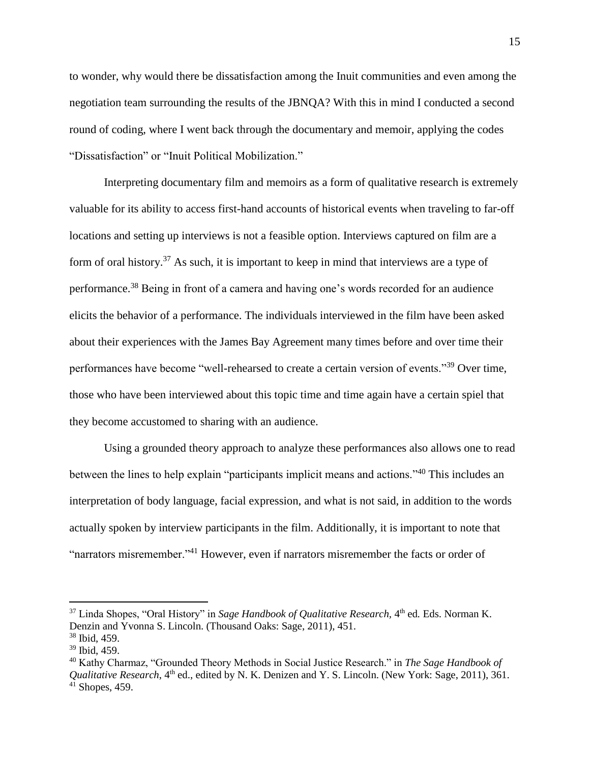to wonder, why would there be dissatisfaction among the Inuit communities and even among the negotiation team surrounding the results of the JBNQA? With this in mind I conducted a second round of coding, where I went back through the documentary and memoir, applying the codes "Dissatisfaction" or "Inuit Political Mobilization."

Interpreting documentary film and memoirs as a form of qualitative research is extremely valuable for its ability to access first-hand accounts of historical events when traveling to far-off locations and setting up interviews is not a feasible option. Interviews captured on film are a form of oral history.<sup>37</sup> As such, it is important to keep in mind that interviews are a type of performance.<sup>38</sup> Being in front of a camera and having one's words recorded for an audience elicits the behavior of a performance. The individuals interviewed in the film have been asked about their experiences with the James Bay Agreement many times before and over time their performances have become "well-rehearsed to create a certain version of events."<sup>39</sup> Over time, those who have been interviewed about this topic time and time again have a certain spiel that they become accustomed to sharing with an audience.

Using a grounded theory approach to analyze these performances also allows one to read between the lines to help explain "participants implicit means and actions."<sup>40</sup> This includes an interpretation of body language, facial expression, and what is not said, in addition to the words actually spoken by interview participants in the film. Additionally, it is important to note that "narrators misremember."<sup>41</sup> However, even if narrators misremember the facts or order of

<sup>&</sup>lt;sup>37</sup> Linda Shopes, "Oral History" in *Sage Handbook of Qualitative Research*, 4<sup>th</sup> ed. Eds. Norman K. Denzin and Yvonna S. Lincoln. (Thousand Oaks: Sage, 2011), 451.

<sup>38</sup> Ibid, 459. <sup>39</sup> Ibid, 459.

<sup>40</sup> Kathy Charmaz, "Grounded Theory Methods in Social Justice Research." in *The Sage Handbook of Qualitative Research*, 4<sup>th</sup> ed., edited by N. K. Denizen and Y. S. Lincoln. (New York: Sage, 2011), 361.  $41$  Shopes, 459.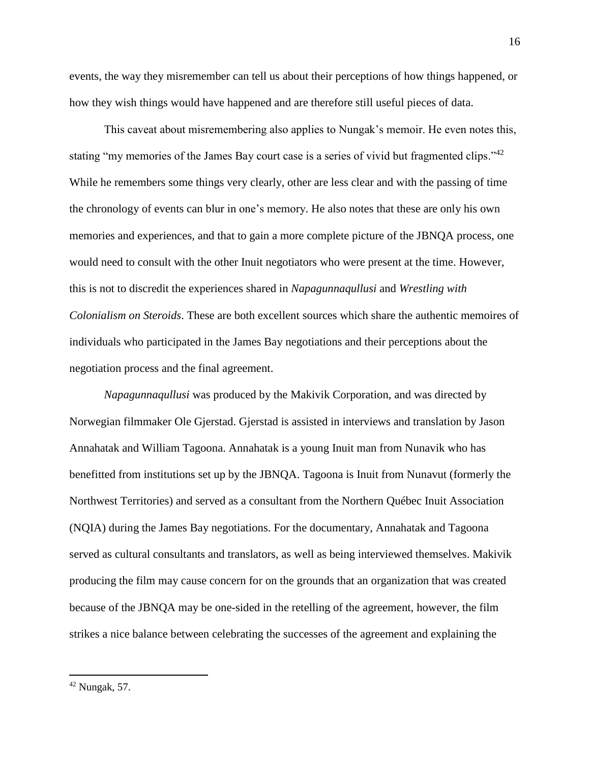events, the way they misremember can tell us about their perceptions of how things happened, or how they wish things would have happened and are therefore still useful pieces of data.

This caveat about misremembering also applies to Nungak's memoir. He even notes this, stating "my memories of the James Bay court case is a series of vivid but fragmented clips."<sup>42</sup> While he remembers some things very clearly, other are less clear and with the passing of time the chronology of events can blur in one's memory. He also notes that these are only his own memories and experiences, and that to gain a more complete picture of the JBNQA process, one would need to consult with the other Inuit negotiators who were present at the time. However, this is not to discredit the experiences shared in *Napagunnaqullusi* and *Wrestling with Colonialism on Steroids*. These are both excellent sources which share the authentic memoires of individuals who participated in the James Bay negotiations and their perceptions about the negotiation process and the final agreement.

*Napagunnaqullusi* was produced by the Makivik Corporation, and was directed by Norwegian filmmaker Ole Gjerstad. Gjerstad is assisted in interviews and translation by Jason Annahatak and William Tagoona. Annahatak is a young Inuit man from Nunavik who has benefitted from institutions set up by the JBNQA. Tagoona is Inuit from Nunavut (formerly the Northwest Territories) and served as a consultant from the Northern Québec Inuit Association (NQIA) during the James Bay negotiations. For the documentary, Annahatak and Tagoona served as cultural consultants and translators, as well as being interviewed themselves. Makivik producing the film may cause concern for on the grounds that an organization that was created because of the JBNQA may be one-sided in the retelling of the agreement, however, the film strikes a nice balance between celebrating the successes of the agreement and explaining the

 $42$  Nungak, 57.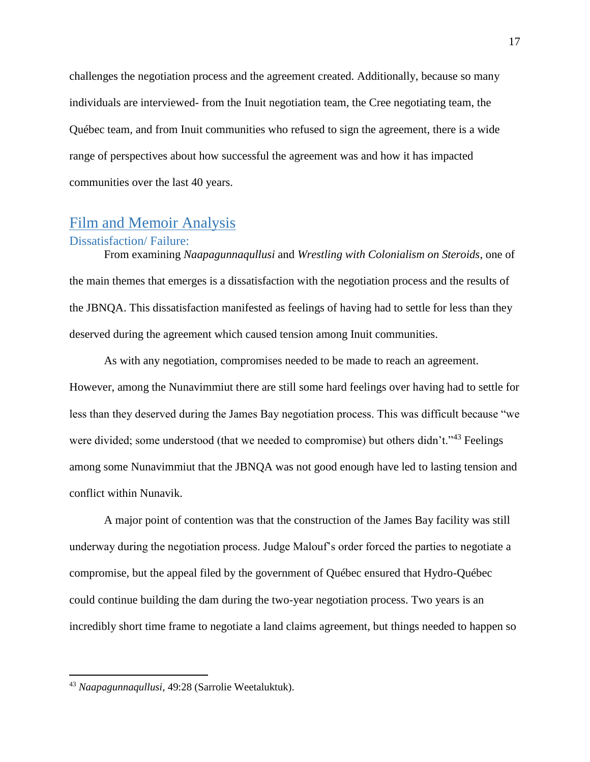challenges the negotiation process and the agreement created. Additionally, because so many individuals are interviewed- from the Inuit negotiation team, the Cree negotiating team, the Québec team, and from Inuit communities who refused to sign the agreement, there is a wide range of perspectives about how successful the agreement was and how it has impacted communities over the last 40 years.

## Film and Memoir Analysis

#### Dissatisfaction/ Failure:

From examining *Naapagunnaqullusi* and *Wrestling with Colonialism on Steroids*, one of the main themes that emerges is a dissatisfaction with the negotiation process and the results of the JBNQA. This dissatisfaction manifested as feelings of having had to settle for less than they deserved during the agreement which caused tension among Inuit communities.

As with any negotiation, compromises needed to be made to reach an agreement. However, among the Nunavimmiut there are still some hard feelings over having had to settle for less than they deserved during the James Bay negotiation process. This was difficult because "we were divided; some understood (that we needed to compromise) but others didn't."<sup>43</sup> Feelings among some Nunavimmiut that the JBNQA was not good enough have led to lasting tension and conflict within Nunavik.

A major point of contention was that the construction of the James Bay facility was still underway during the negotiation process. Judge Malouf's order forced the parties to negotiate a compromise, but the appeal filed by the government of Québec ensured that Hydro-Québec could continue building the dam during the two-year negotiation process. Two years is an incredibly short time frame to negotiate a land claims agreement, but things needed to happen so

<sup>43</sup> *Naapagunnaqullusi*, 49:28 (Sarrolie Weetaluktuk).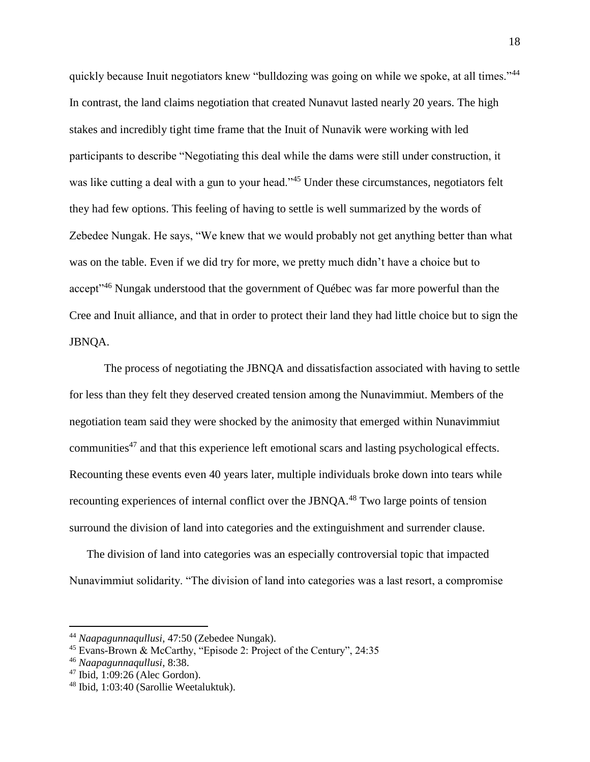quickly because Inuit negotiators knew "bulldozing was going on while we spoke, at all times."<sup>44</sup> In contrast, the land claims negotiation that created Nunavut lasted nearly 20 years. The high stakes and incredibly tight time frame that the Inuit of Nunavik were working with led participants to describe "Negotiating this deal while the dams were still under construction, it was like cutting a deal with a gun to your head."<sup>45</sup> Under these circumstances, negotiators felt they had few options. This feeling of having to settle is well summarized by the words of Zebedee Nungak. He says, "We knew that we would probably not get anything better than what was on the table. Even if we did try for more, we pretty much didn't have a choice but to accept<sup>346</sup> Nungak understood that the government of Québec was far more powerful than the Cree and Inuit alliance, and that in order to protect their land they had little choice but to sign the JBNQA.

The process of negotiating the JBNQA and dissatisfaction associated with having to settle for less than they felt they deserved created tension among the Nunavimmiut. Members of the negotiation team said they were shocked by the animosity that emerged within Nunavimmiut communities<sup>47</sup> and that this experience left emotional scars and lasting psychological effects. Recounting these events even 40 years later, multiple individuals broke down into tears while recounting experiences of internal conflict over the JBNQA.<sup>48</sup> Two large points of tension surround the division of land into categories and the extinguishment and surrender clause.

The division of land into categories was an especially controversial topic that impacted Nunavimmiut solidarity. "The division of land into categories was a last resort, a compromise

<sup>44</sup> *Naapagunnaqullusi*, 47:50 (Zebedee Nungak).

<sup>45</sup> Evans-Brown & McCarthy, "Episode 2: Project of the Century", 24:35

<sup>46</sup> *Naapagunnaqullusi*, 8:38.

<sup>47</sup> Ibid, 1:09:26 (Alec Gordon).

<sup>48</sup> Ibid, 1:03:40 (Sarollie Weetaluktuk).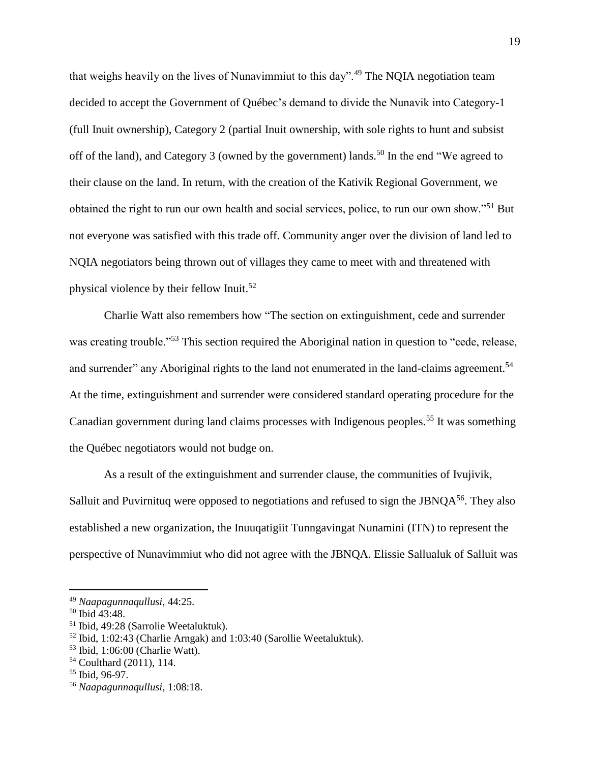that weighs heavily on the lives of Nunavimmiut to this day".<sup>49</sup> The NQIA negotiation team decided to accept the Government of Québec's demand to divide the Nunavik into Category-1 (full Inuit ownership), Category 2 (partial Inuit ownership, with sole rights to hunt and subsist off of the land), and Category 3 (owned by the government) lands.<sup>50</sup> In the end "We agreed to their clause on the land. In return, with the creation of the Kativik Regional Government, we obtained the right to run our own health and social services, police, to run our own show."<sup>51</sup> But not everyone was satisfied with this trade off. Community anger over the division of land led to NQIA negotiators being thrown out of villages they came to meet with and threatened with physical violence by their fellow Inuit.<sup>52</sup>

Charlie Watt also remembers how "The section on extinguishment, cede and surrender was creating trouble."<sup>53</sup> This section required the Aboriginal nation in question to "cede, release, and surrender" any Aboriginal rights to the land not enumerated in the land-claims agreement.<sup>54</sup> At the time, extinguishment and surrender were considered standard operating procedure for the Canadian government during land claims processes with Indigenous peoples.<sup>55</sup> It was something the Québec negotiators would not budge on.

As a result of the extinguishment and surrender clause, the communities of Ivujivik, Salluit and Puvirnituq were opposed to negotiations and refused to sign the JBNQ $A^{56}$ . They also established a new organization, the Inuuqatigiit Tunngavingat Nunamini (ITN) to represent the perspective of Nunavimmiut who did not agree with the JBNQA. Elissie Sallualuk of Salluit was

<sup>49</sup> *Naapagunnaqullusi*, 44:25.

<sup>50</sup> Ibid 43:48.

<sup>51</sup> Ibid, 49:28 (Sarrolie Weetaluktuk).

<sup>52</sup> Ibid, 1:02:43 (Charlie Arngak) and 1:03:40 (Sarollie Weetaluktuk).

<sup>53</sup> Ibid, 1:06:00 (Charlie Watt).

<sup>54</sup> Coulthard (2011), 114.

<sup>55</sup> Ibid, 96-97.

<sup>56</sup> *Naapagunnaqullusi,* 1:08:18.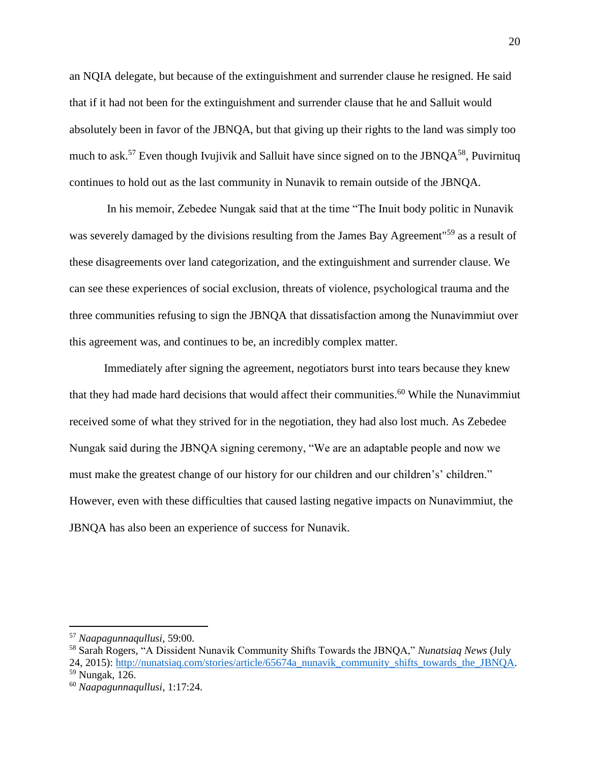an NQIA delegate, but because of the extinguishment and surrender clause he resigned. He said that if it had not been for the extinguishment and surrender clause that he and Salluit would absolutely been in favor of the JBNQA, but that giving up their rights to the land was simply too much to ask.<sup>57</sup> Even though Ivujivik and Salluit have since signed on to the JBNO $A^{58}$ , Puvirnituq continues to hold out as the last community in Nunavik to remain outside of the JBNQA.

In his memoir, Zebedee Nungak said that at the time "The Inuit body politic in Nunavik was severely damaged by the divisions resulting from the James Bay Agreement"<sup>59</sup> as a result of these disagreements over land categorization, and the extinguishment and surrender clause. We can see these experiences of social exclusion, threats of violence, psychological trauma and the three communities refusing to sign the JBNQA that dissatisfaction among the Nunavimmiut over this agreement was, and continues to be, an incredibly complex matter.

Immediately after signing the agreement, negotiators burst into tears because they knew that they had made hard decisions that would affect their communities.<sup>60</sup> While the Nunavimmiut received some of what they strived for in the negotiation, they had also lost much. As Zebedee Nungak said during the JBNQA signing ceremony, "We are an adaptable people and now we must make the greatest change of our history for our children and our children's' children." However, even with these difficulties that caused lasting negative impacts on Nunavimmiut, the JBNQA has also been an experience of success for Nunavik.

<sup>57</sup> *Naapagunnaqullusi*, 59:00.

<sup>58</sup> Sarah Rogers, "A Dissident Nunavik Community Shifts Towards the JBNQA," *Nunatsiaq News* (July 24, 2015): [http://nunatsiaq.com/stories/article/65674a\\_nunavik\\_community\\_shifts\\_towards\\_the\\_JBNQA.](http://nunatsiaq.com/stories/article/65674a_nunavik_community_shifts_towards_the_JBNQA)

<sup>59</sup> Nungak, 126.

<sup>60</sup> *Naapagunnaqullusi*, 1:17:24.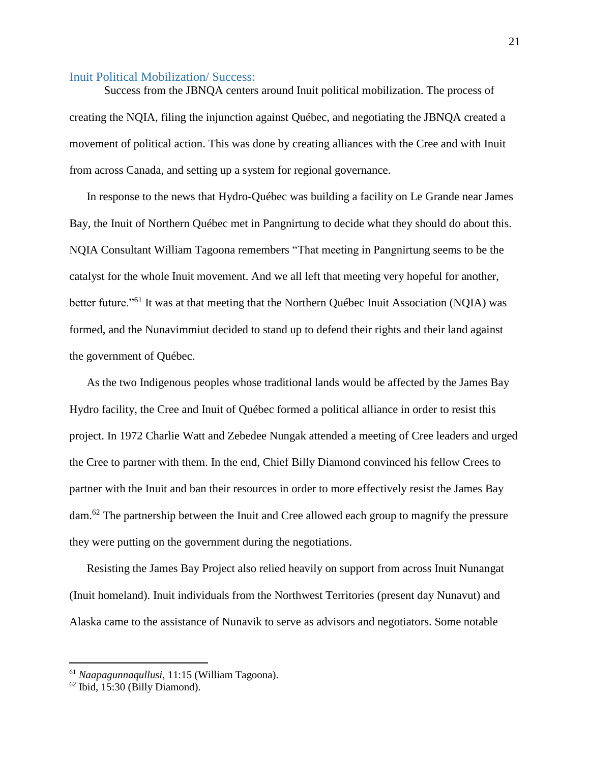#### Inuit Political Mobilization/ Success:

Success from the JBNQA centers around Inuit political mobilization. The process of creating the NQIA, filing the injunction against Québec, and negotiating the JBNQA created a movement of political action. This was done by creating alliances with the Cree and with Inuit from across Canada, and setting up a system for regional governance.

In response to the news that Hydro-Québec was building a facility on Le Grande near James Bay, the Inuit of Northern Québec met in Pangnirtung to decide what they should do about this. NQIA Consultant William Tagoona remembers "That meeting in Pangnirtung seems to be the catalyst for the whole Inuit movement. And we all left that meeting very hopeful for another, better future."<sup>61</sup> It was at that meeting that the Northern Québec Inuit Association (NQIA) was formed, and the Nunavimmiut decided to stand up to defend their rights and their land against the government of Québec.

As the two Indigenous peoples whose traditional lands would be affected by the James Bay Hydro facility, the Cree and Inuit of Québec formed a political alliance in order to resist this project. In 1972 Charlie Watt and Zebedee Nungak attended a meeting of Cree leaders and urged the Cree to partner with them. In the end, Chief Billy Diamond convinced his fellow Crees to partner with the Inuit and ban their resources in order to more effectively resist the James Bay dam.<sup>62</sup> The partnership between the Inuit and Cree allowed each group to magnify the pressure they were putting on the government during the negotiations.

Resisting the James Bay Project also relied heavily on support from across Inuit Nunangat (Inuit homeland). Inuit individuals from the Northwest Territories (present day Nunavut) and Alaska came to the assistance of Nunavik to serve as advisors and negotiators. Some notable

<sup>61</sup> *Naapagunnaqullusi*, 11:15 (William Tagoona).

<sup>62</sup> Ibid, 15:30 (Billy Diamond).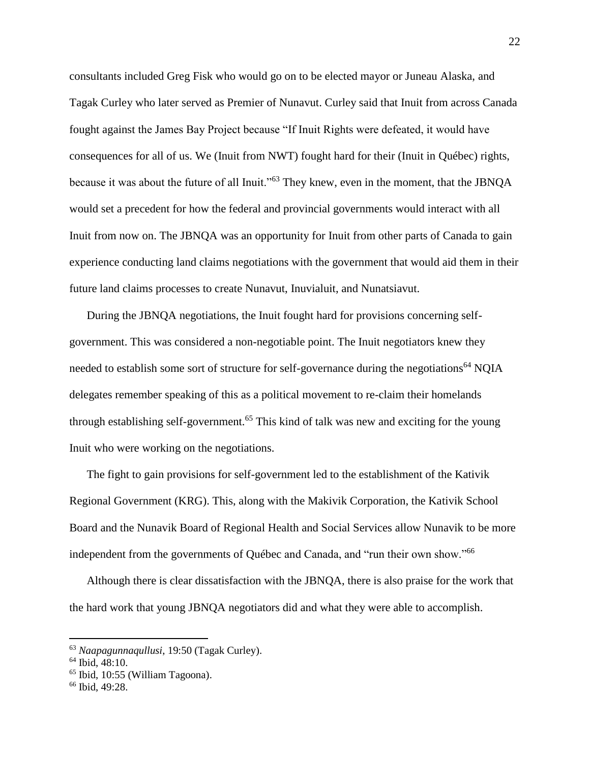consultants included Greg Fisk who would go on to be elected mayor or Juneau Alaska, and Tagak Curley who later served as Premier of Nunavut. Curley said that Inuit from across Canada fought against the James Bay Project because "If Inuit Rights were defeated, it would have consequences for all of us. We (Inuit from NWT) fought hard for their (Inuit in Québec) rights, because it was about the future of all Inuit."<sup>63</sup> They knew, even in the moment, that the JBNQA would set a precedent for how the federal and provincial governments would interact with all Inuit from now on. The JBNQA was an opportunity for Inuit from other parts of Canada to gain experience conducting land claims negotiations with the government that would aid them in their future land claims processes to create Nunavut, Inuvialuit, and Nunatsiavut.

During the JBNQA negotiations, the Inuit fought hard for provisions concerning selfgovernment. This was considered a non-negotiable point. The Inuit negotiators knew they needed to establish some sort of structure for self-governance during the negotiations<sup>64</sup> NQIA delegates remember speaking of this as a political movement to re-claim their homelands through establishing self-government.<sup>65</sup> This kind of talk was new and exciting for the young Inuit who were working on the negotiations.

The fight to gain provisions for self-government led to the establishment of the Kativik Regional Government (KRG). This, along with the Makivik Corporation, the Kativik School Board and the Nunavik Board of Regional Health and Social Services allow Nunavik to be more independent from the governments of Québec and Canada, and "run their own show."<sup>66</sup>

Although there is clear dissatisfaction with the JBNQA, there is also praise for the work that the hard work that young JBNQA negotiators did and what they were able to accomplish.

<sup>63</sup> *Naapagunnaqullusi*, 19:50 (Tagak Curley).

<sup>64</sup> Ibid, 48:10.

<sup>65</sup> Ibid, 10:55 (William Tagoona).

<sup>66</sup> Ibid, 49:28.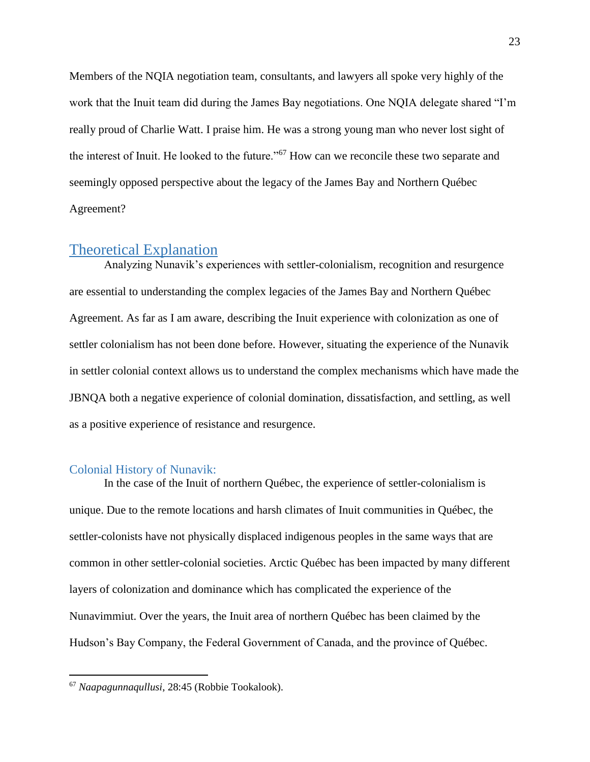Members of the NQIA negotiation team, consultants, and lawyers all spoke very highly of the work that the Inuit team did during the James Bay negotiations. One NQIA delegate shared "I'm really proud of Charlie Watt. I praise him. He was a strong young man who never lost sight of the interest of Inuit. He looked to the future."<sup>67</sup> How can we reconcile these two separate and seemingly opposed perspective about the legacy of the James Bay and Northern Québec Agreement?

## Theoretical Explanation

Analyzing Nunavik's experiences with settler-colonialism, recognition and resurgence are essential to understanding the complex legacies of the James Bay and Northern Québec Agreement. As far as I am aware, describing the Inuit experience with colonization as one of settler colonialism has not been done before. However, situating the experience of the Nunavik in settler colonial context allows us to understand the complex mechanisms which have made the JBNQA both a negative experience of colonial domination, dissatisfaction, and settling, as well as a positive experience of resistance and resurgence.

#### Colonial History of Nunavik:

In the case of the Inuit of northern Québec, the experience of settler-colonialism is unique. Due to the remote locations and harsh climates of Inuit communities in Québec, the settler-colonists have not physically displaced indigenous peoples in the same ways that are common in other settler-colonial societies. Arctic Québec has been impacted by many different layers of colonization and dominance which has complicated the experience of the Nunavimmiut. Over the years, the Inuit area of northern Québec has been claimed by the Hudson's Bay Company, the Federal Government of Canada, and the province of Québec.

<sup>67</sup> *Naapagunnaqullusi*, 28:45 (Robbie Tookalook).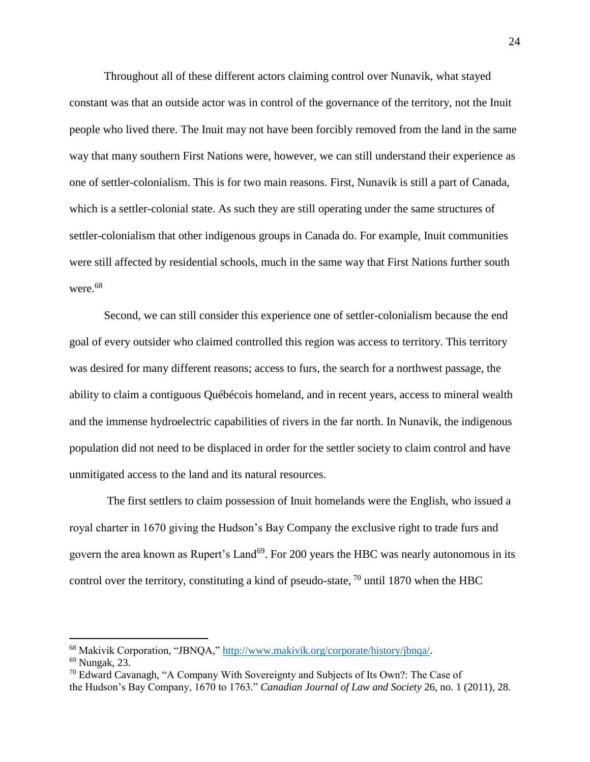Throughout all of these different actors claiming control over Nunavik, what stayed constant was that an outside actor was in control of the governance of the territory, not the Inuit people who lived there. The Inuit may not have been forcibly removed from the land in the same way that many southern First Nations were, however, we can still understand their experience as one of settler-colonialism. This is for two main reasons. First, Nunavik is still a part of Canada, which is a settler-colonial state. As such they are still operating under the same structures of settler-colonialism that other indigenous groups in Canada do. For example, Inuit communities were still affected by residential schools, much in the same way that First Nations further south were.<sup>68</sup>

Second, we can still consider this experience one of settler-colonialism because the end goal of every outsider who claimed controlled this region was access to territory. This territory was desired for many different reasons; access to furs, the search for a northwest passage, the ability to claim a contiguous Québécois homeland, and in recent years, access to mineral wealth and the immense hydroelectric capabilities of rivers in the far north. In Nunavik, the indigenous population did not need to be displaced in order for the settler society to claim control and have unmitigated access to the land and its natural resources.

The first settlers to claim possession of Inuit homelands were the English, who issued a royal charter in 1670 giving the Hudson's Bay Company the exclusive right to trade furs and govern the area known as Rupert's Land<sup>69</sup>. For 200 years the HBC was nearly autonomous in its control over the territory, constituting a kind of pseudo-state,  $\frac{70}{18}$  until 1870 when the HBC

<sup>68</sup> Makivik Corporation, "JBNQA," [http://www.makivik.org/corporate/history/jbnqa/.](http://www.makivik.org/corporate/history/jbnqa/)

<sup>69</sup> Nungak, 23.

<sup>&</sup>lt;sup>70</sup> Edward Cavanagh, "A Company With Sovereignty and Subjects of Its Own?: The Case of the Hudson's Bay Company, 1670 to 1763." *Canadian Journal of Law and Society* 26, no. 1 (2011), 28.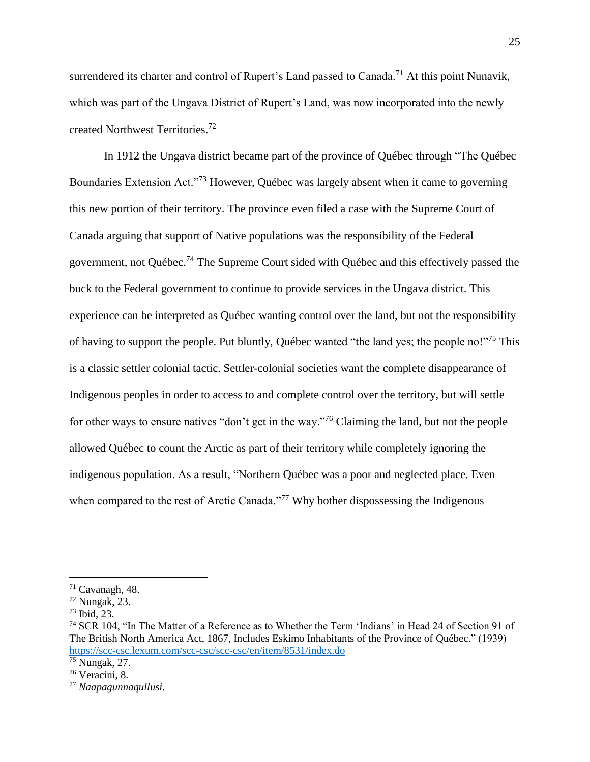surrendered its charter and control of Rupert's Land passed to Canada.<sup>71</sup> At this point Nunavik, which was part of the Ungava District of Rupert's Land, was now incorporated into the newly created Northwest Territories.<sup>72</sup>

In 1912 the Ungava district became part of the province of Québec through "The Québec Boundaries Extension Act."<sup>73</sup> However, Québec was largely absent when it came to governing this new portion of their territory. The province even filed a case with the Supreme Court of Canada arguing that support of Native populations was the responsibility of the Federal government, not Québec.<sup>74</sup> The Supreme Court sided with Québec and this effectively passed the buck to the Federal government to continue to provide services in the Ungava district. This experience can be interpreted as Québec wanting control over the land, but not the responsibility of having to support the people. Put bluntly, Québec wanted "the land yes; the people no!"<sup>75</sup> This is a classic settler colonial tactic. Settler-colonial societies want the complete disappearance of Indigenous peoples in order to access to and complete control over the territory, but will settle for other ways to ensure natives "don't get in the way."<sup>76</sup> Claiming the land, but not the people allowed Québec to count the Arctic as part of their territory while completely ignoring the indigenous population. As a result, "Northern Québec was a poor and neglected place. Even when compared to the rest of Arctic Canada."<sup>77</sup> Why bother dispossessing the Indigenous

 $71$  Cavanagh, 48.

 $72$  Nungak, 23.

<sup>73</sup> Ibid, 23.

<sup>74</sup> SCR 104, "In The Matter of a Reference as to Whether the Term 'Indians' in Head 24 of Section 91 of The British North America Act, 1867, Includes Eskimo Inhabitants of the Province of Québec." (1939) <https://scc-csc.lexum.com/scc-csc/scc-csc/en/item/8531/index.do>

<sup>75</sup> Nungak, 27.

<sup>76</sup> Veracini, 8.

<sup>77</sup> *Naapagunnaqullusi.*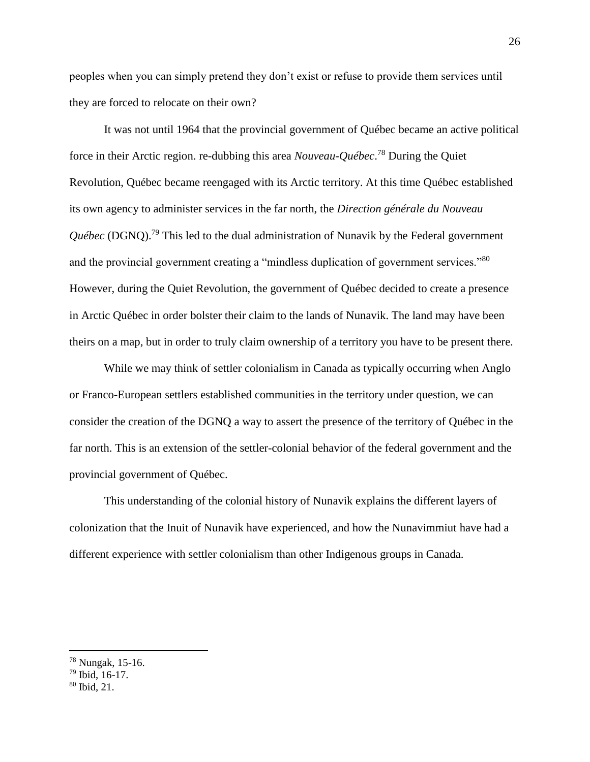peoples when you can simply pretend they don't exist or refuse to provide them services until they are forced to relocate on their own?

It was not until 1964 that the provincial government of Québec became an active political force in their Arctic region. re-dubbing this area *Nouveau-Québec*. <sup>78</sup> During the Quiet Revolution, Québec became reengaged with its Arctic territory. At this time Québec established its own agency to administer services in the far north, the *Direction générale du Nouveau Québec* (DGNQ).<sup>79</sup> This led to the dual administration of Nunavik by the Federal government and the provincial government creating a "mindless duplication of government services."<sup>80</sup> However, during the Quiet Revolution, the government of Québec decided to create a presence in Arctic Québec in order bolster their claim to the lands of Nunavik. The land may have been theirs on a map, but in order to truly claim ownership of a territory you have to be present there.

While we may think of settler colonialism in Canada as typically occurring when Anglo or Franco-European settlers established communities in the territory under question, we can consider the creation of the DGNQ a way to assert the presence of the territory of Québec in the far north. This is an extension of the settler-colonial behavior of the federal government and the provincial government of Québec.

This understanding of the colonial history of Nunavik explains the different layers of colonization that the Inuit of Nunavik have experienced, and how the Nunavimmiut have had a different experience with settler colonialism than other Indigenous groups in Canada.

<sup>78</sup> Nungak, 15-16.

<sup>79</sup> Ibid, 16-17.

<sup>80</sup> Ibid, 21.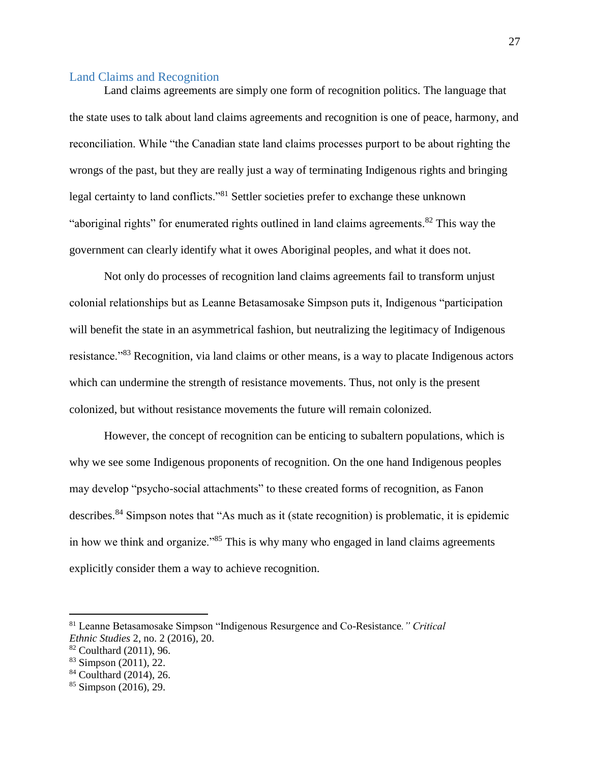#### Land Claims and Recognition

Land claims agreements are simply one form of recognition politics. The language that the state uses to talk about land claims agreements and recognition is one of peace, harmony, and reconciliation. While "the Canadian state land claims processes purport to be about righting the wrongs of the past, but they are really just a way of terminating Indigenous rights and bringing legal certainty to land conflicts."<sup>81</sup> Settler societies prefer to exchange these unknown "aboriginal rights" for enumerated rights outlined in land claims agreements.<sup>82</sup> This way the government can clearly identify what it owes Aboriginal peoples, and what it does not.

Not only do processes of recognition land claims agreements fail to transform unjust colonial relationships but as Leanne Betasamosake Simpson puts it, Indigenous "participation will benefit the state in an asymmetrical fashion, but neutralizing the legitimacy of Indigenous resistance."<sup>83</sup> Recognition, via land claims or other means, is a way to placate Indigenous actors which can undermine the strength of resistance movements. Thus, not only is the present colonized, but without resistance movements the future will remain colonized.

However, the concept of recognition can be enticing to subaltern populations, which is why we see some Indigenous proponents of recognition. On the one hand Indigenous peoples may develop "psycho-social attachments" to these created forms of recognition, as Fanon describes.<sup>84</sup> Simpson notes that "As much as it (state recognition) is problematic, it is epidemic in how we think and organize."<sup>85</sup> This is why many who engaged in land claims agreements explicitly consider them a way to achieve recognition.

<sup>81</sup> Leanne Betasamosake Simpson "Indigenous Resurgence and Co-Resistance*." Critical Ethnic Studies* 2, no. 2 (2016), 20.

<sup>82</sup> Coulthard (2011), 96.

<sup>83</sup> Simpson (2011), 22.

<sup>84</sup> Coulthard (2014), 26.

 $85$  Simpson (2016), 29.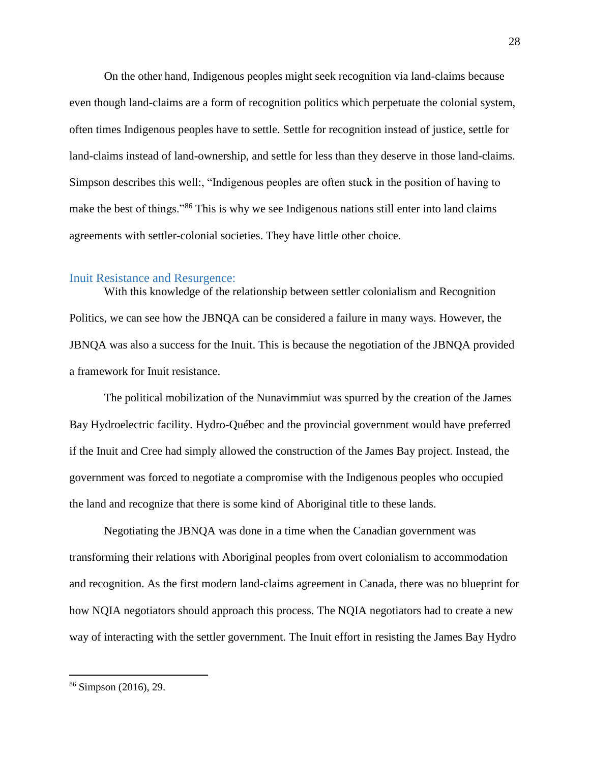On the other hand, Indigenous peoples might seek recognition via land-claims because even though land-claims are a form of recognition politics which perpetuate the colonial system, often times Indigenous peoples have to settle. Settle for recognition instead of justice, settle for land-claims instead of land-ownership, and settle for less than they deserve in those land-claims. Simpson describes this well:, "Indigenous peoples are often stuck in the position of having to make the best of things."<sup>86</sup> This is why we see Indigenous nations still enter into land claims agreements with settler-colonial societies. They have little other choice.

#### Inuit Resistance and Resurgence:

With this knowledge of the relationship between settler colonialism and Recognition Politics, we can see how the JBNQA can be considered a failure in many ways. However, the JBNQA was also a success for the Inuit. This is because the negotiation of the JBNQA provided a framework for Inuit resistance.

The political mobilization of the Nunavimmiut was spurred by the creation of the James Bay Hydroelectric facility. Hydro-Québec and the provincial government would have preferred if the Inuit and Cree had simply allowed the construction of the James Bay project. Instead, the government was forced to negotiate a compromise with the Indigenous peoples who occupied the land and recognize that there is some kind of Aboriginal title to these lands.

Negotiating the JBNQA was done in a time when the Canadian government was transforming their relations with Aboriginal peoples from overt colonialism to accommodation and recognition. As the first modern land-claims agreement in Canada, there was no blueprint for how NQIA negotiators should approach this process. The NQIA negotiators had to create a new way of interacting with the settler government. The Inuit effort in resisting the James Bay Hydro

<sup>86</sup> Simpson (2016), 29.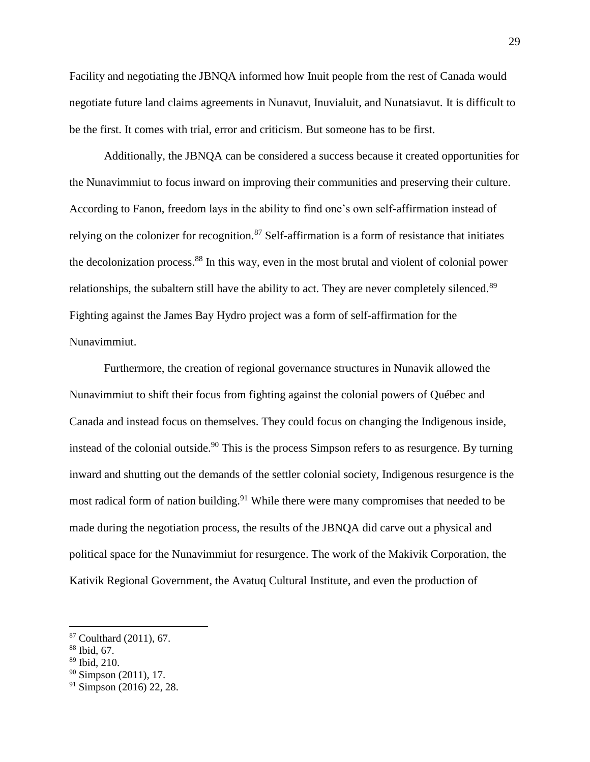Facility and negotiating the JBNQA informed how Inuit people from the rest of Canada would negotiate future land claims agreements in Nunavut, Inuvialuit, and Nunatsiavut. It is difficult to be the first. It comes with trial, error and criticism. But someone has to be first.

Additionally, the JBNQA can be considered a success because it created opportunities for the Nunavimmiut to focus inward on improving their communities and preserving their culture. According to Fanon, freedom lays in the ability to find one's own self-affirmation instead of relying on the colonizer for recognition.<sup>87</sup> Self-affirmation is a form of resistance that initiates the decolonization process. <sup>88</sup> In this way, even in the most brutal and violent of colonial power relationships, the subaltern still have the ability to act. They are never completely silenced.<sup>89</sup> Fighting against the James Bay Hydro project was a form of self-affirmation for the Nunavimmiut.

Furthermore, the creation of regional governance structures in Nunavik allowed the Nunavimmiut to shift their focus from fighting against the colonial powers of Québec and Canada and instead focus on themselves. They could focus on changing the Indigenous inside, instead of the colonial outside.<sup>90</sup> This is the process Simpson refers to as resurgence. By turning inward and shutting out the demands of the settler colonial society, Indigenous resurgence is the most radical form of nation building.<sup>91</sup> While there were many compromises that needed to be made during the negotiation process, the results of the JBNQA did carve out a physical and political space for the Nunavimmiut for resurgence. The work of the Makivik Corporation, the Kativik Regional Government, the Avatuq Cultural Institute, and even the production of

 $87$  Coulthard (2011), 67.

<sup>88</sup> Ibid, 67.

<sup>89</sup> Ibid, 210.

 $90$  Simpson (2011), 17.

 $91$  Simpson (2016) 22, 28.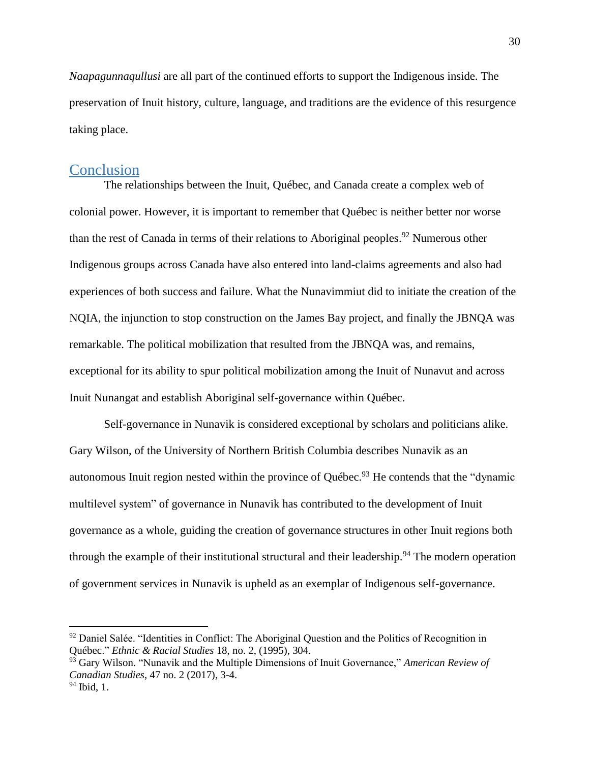*Naapagunnaqullusi* are all part of the continued efforts to support the Indigenous inside. The preservation of Inuit history, culture, language, and traditions are the evidence of this resurgence taking place.

## **Conclusion**

The relationships between the Inuit, Québec, and Canada create a complex web of colonial power. However, it is important to remember that Québec is neither better nor worse than the rest of Canada in terms of their relations to Aboriginal peoples. <sup>92</sup> Numerous other Indigenous groups across Canada have also entered into land-claims agreements and also had experiences of both success and failure. What the Nunavimmiut did to initiate the creation of the NQIA, the injunction to stop construction on the James Bay project, and finally the JBNQA was remarkable. The political mobilization that resulted from the JBNQA was, and remains, exceptional for its ability to spur political mobilization among the Inuit of Nunavut and across Inuit Nunangat and establish Aboriginal self-governance within Québec.

Self-governance in Nunavik is considered exceptional by scholars and politicians alike. Gary Wilson, of the University of Northern British Columbia describes Nunavik as an autonomous Inuit region nested within the province of Québec.<sup>93</sup> He contends that the "dynamic multilevel system" of governance in Nunavik has contributed to the development of Inuit governance as a whole, guiding the creation of governance structures in other Inuit regions both through the example of their institutional structural and their leadership.<sup>94</sup> The modern operation of government services in Nunavik is upheld as an exemplar of Indigenous self-governance.

 $92$  Daniel Salée. "Identities in Conflict: The Aboriginal Question and the Politics of Recognition in Québec." *Ethnic & Racial Studies* 18, no. 2, (1995), 304.

<sup>93</sup> Gary Wilson. "Nunavik and the Multiple Dimensions of Inuit Governance," *American Review of Canadian Studies*, 47 no. 2 (2017), 3-4.

 $94$  Ibid, 1.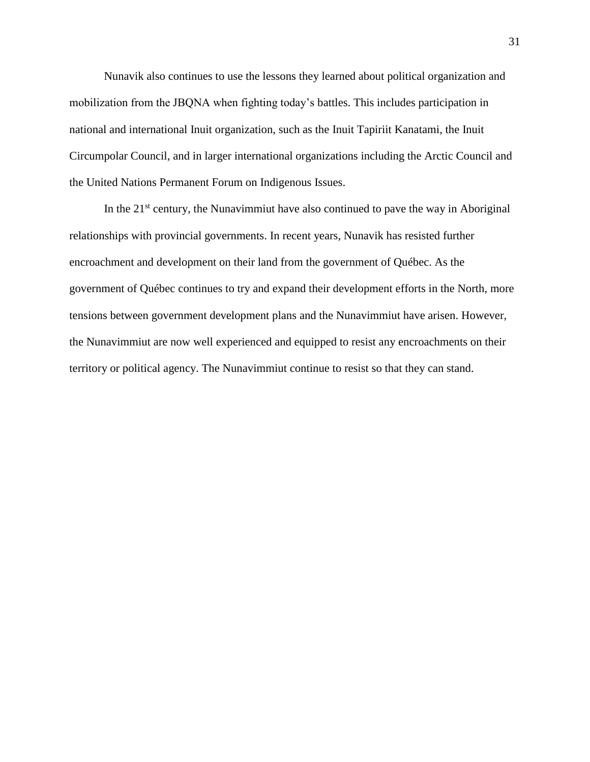Nunavik also continues to use the lessons they learned about political organization and mobilization from the JBQNA when fighting today's battles. This includes participation in national and international Inuit organization, such as the Inuit Tapiriit Kanatami, the Inuit Circumpolar Council, and in larger international organizations including the Arctic Council and the United Nations Permanent Forum on Indigenous Issues.

In the  $21<sup>st</sup>$  century, the Nunavimmiut have also continued to pave the way in Aboriginal relationships with provincial governments. In recent years, Nunavik has resisted further encroachment and development on their land from the government of Québec. As the government of Québec continues to try and expand their development efforts in the North, more tensions between government development plans and the Nunavimmiut have arisen. However, the Nunavimmiut are now well experienced and equipped to resist any encroachments on their territory or political agency. The Nunavimmiut continue to resist so that they can stand.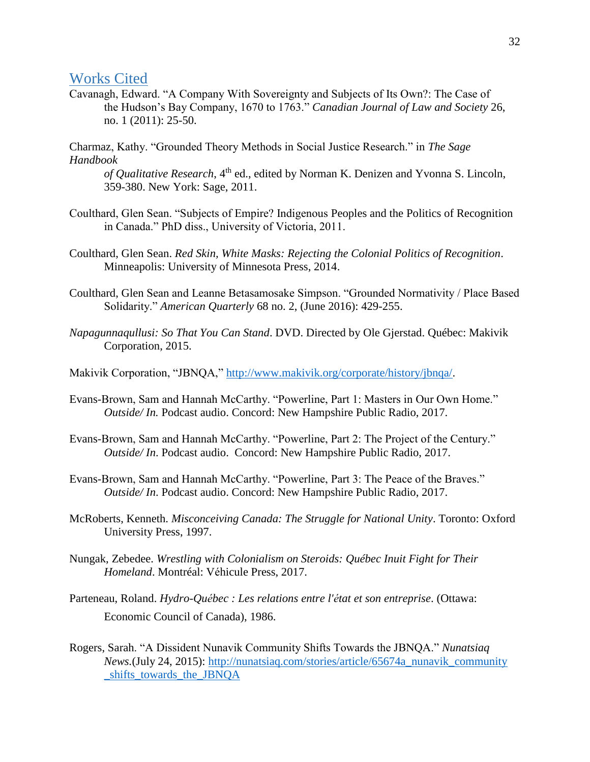## Works Cited

Cavanagh, Edward. "A Company With Sovereignty and Subjects of Its Own?: The Case of the Hudson's Bay Company, 1670 to 1763." *Canadian Journal of Law and Society* 26, no. 1 (2011): 25-50.

Charmaz, Kathy. "Grounded Theory Methods in Social Justice Research." in *The Sage Handbook* 

*of Qualitative Research*, 4<sup>th</sup> ed., edited by Norman K. Denizen and Yvonna S. Lincoln, 359-380. New York: Sage, 2011.

- Coulthard, Glen Sean. "Subjects of Empire? Indigenous Peoples and the Politics of Recognition in Canada." PhD diss., University of Victoria, 2011.
- Coulthard, Glen Sean. *Red Skin, White Masks: Rejecting the Colonial Politics of Recognition*. Minneapolis: University of Minnesota Press, 2014.
- Coulthard, Glen Sean and Leanne Betasamosake Simpson. "Grounded Normativity / Place Based Solidarity." *American Quarterly* 68 no. 2, (June 2016): 429-255.
- *Napagunnaqullusi: So That You Can Stand*. DVD. Directed by Ole Gjerstad. Québec: Makivik Corporation, 2015.
- Makivik Corporation, "JBNQA," [http://www.makivik.org/corporate/history/jbnqa/.](http://www.makivik.org/corporate/history/jbnqa/)
- Evans-Brown, Sam and Hannah McCarthy. "Powerline, Part 1: Masters in Our Own Home." *Outside/ In.* Podcast audio. Concord: New Hampshire Public Radio, 2017.
- Evans-Brown, Sam and Hannah McCarthy. "Powerline, Part 2: The Project of the Century." *Outside/ In*. Podcast audio. Concord: New Hampshire Public Radio, 2017.
- Evans-Brown, Sam and Hannah McCarthy. "Powerline, Part 3: The Peace of the Braves." *Outside/ In*. Podcast audio. Concord: New Hampshire Public Radio, 2017.
- McRoberts, Kenneth. *Misconceiving Canada: The Struggle for National Unity*. Toronto: Oxford University Press, 1997.
- Nungak, Zebedee. *Wrestling with Colonialism on Steroids: Québec Inuit Fight for Their Homeland*. Montréal: Véhicule Press, 2017.
- Parteneau, Roland. *Hydro-Québec : Les relations entre l'état et son entreprise*. (Ottawa: Economic Council of Canada), 1986.
- Rogers, Sarah. "A Dissident Nunavik Community Shifts Towards the JBNQA." *Nunatsiaq News.*(July 24, 2015): [http://nunatsiaq.com/stories/article/65674a\\_nunavik\\_community](http://nunatsiaq.com/stories/article/65674a_nunavik_community%20_shifts_towards_the_JBNQA)  [\\_shifts\\_towards\\_the\\_JBNQA](http://nunatsiaq.com/stories/article/65674a_nunavik_community%20_shifts_towards_the_JBNQA)